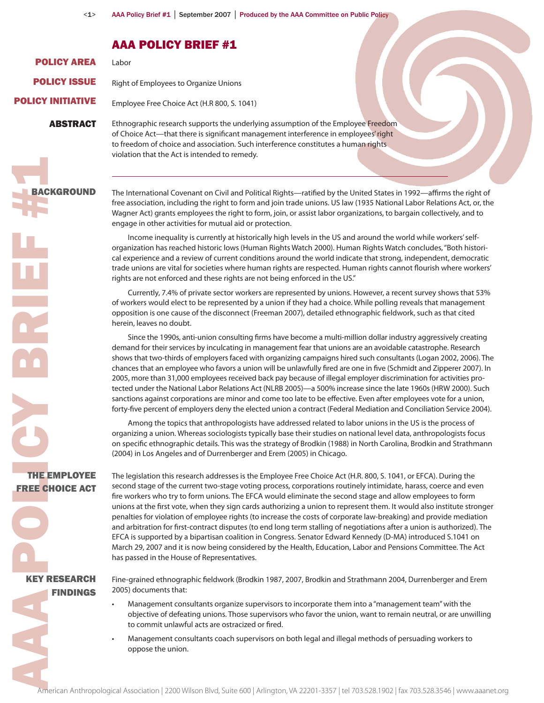# AAA POLICY BRIEF #1

Right of Employees to Organize Unions

| <b>POLICY AREA</b>  |
|---------------------|
| <b>POLICY ISSUE</b> |
| POLICY INITIATIVE   |

ABSTRACT

Employee Free Choice Act (H.R 800, S. 1041)

Labor

Ethnographic research supports the underlying assumption of the Employee Freedom of Choice Act—that there is significant management interference in employees' right to freedom of choice and association. Such interference constitutes a human rights violation that the Act is intended to remedy.

BACKGROUND

The International Covenant on Civil and Political Rights—ratified by the United States in 1992—affirms the right of free association, including the right to form and join trade unions. US law (1935 National Labor Relations Act, or, the Wagner Act) grants employees the right to form, join, or assist labor organizations, to bargain collectively, and to engage in other activities for mutual aid or protection.

Income inequality is currently at historically high levels in the US and around the world while workers' selforganization has reached historic lows (Human Rights Watch 2000). Human Rights Watch concludes, "Both historical experience and a review of current conditions around the world indicate that strong, independent, democratic trade unions are vital for societies where human rights are respected. Human rights cannot flourish where workers' rights are not enforced and these rights are not being enforced in the US."

Currently, 7.4% of private sector workers are represented by unions. However, a recent survey shows that 53% of workers would elect to be represented by a union if they had a choice. While polling reveals that management opposition is one cause of the disconnect (Freeman 2007), detailed ethnographic fi eldwork, such as that cited herein, leaves no doubt.

Since the 1990s, anti-union consulting firms have become a multi-million dollar industry aggressively creating demand for their services by inculcating in management fear that unions are an avoidable catastrophe. Research shows that two-thirds of employers faced with organizing campaigns hired such consultants (Logan 2002, 2006). The chances that an employee who favors a union will be unlawfully fired are one in five (Schmidt and Zipperer 2007). In 2005, more than 31,000 employees received back pay because of illegal employer discrimination for activities protected under the National Labor Relations Act (NLRB 2005)—a 500% increase since the late 1960s (HRW 2000). Such sanctions against corporations are minor and come too late to be effective. Even after employees vote for a union, forty-five percent of employers deny the elected union a contract (Federal Mediation and Conciliation Service 2004).

Among the topics that anthropologists have addressed related to labor unions in the US is the process of organizing a union. Whereas sociologists typically base their studies on national level data, anthropologists focus on specific ethnographic details. This was the strategy of Brodkin (1988) in North Carolina, Brodkin and Strathmann (2004) in Los Angeles and of Durrenberger and Erem (2005) in Chicago.

AAA Policy Brief #1 September 2007 │ Produced by the AAA Committee on Public Policy Brief #1<br>
POLICY AREA Habstra Company to Committe Union<br>
FOLICY AREA Habstra Company to Committee on Public Policy Brief #1<br>
POLICY AREA H The legislation this research addresses is the Employee Free Choice Act (H.R. 800, S. 1041, or EFCA). During the second stage of the current two-stage voting process, corporations routinely intimidate, harass, coerce and even fire workers who try to form unions. The EFCA would eliminate the second stage and allow employees to form unions at the first vote, when they sign cards authorizing a union to represent them. It would also institute stronger penalties for violation of employee rights (to increase the costs of corporate law-breaking) and provide mediation and arbitration for first-contract disputes (to end long term stalling of negotiations after a union is authorized). The EFCA is supported by a bipartisan coalition in Congress. Senator Edward Kennedy (D-MA) introduced S.1041 on March 29, 2007 and it is now being considered by the Health, Education, Labor and Pensions Committee. The Act has passed in the House of Representatives.

KEY RESEARCH FINDINGS

THE EMPLOYEE FREE CHOICE ACT

> Fine-grained ethnographic fieldwork (Brodkin 1987, 2007, Brodkin and Strathmann 2004, Durrenberger and Erem 2005) documents that:

- Management consultants organize supervisors to incorporate them into a "management team" with the objective of defeating unions. Those supervisors who favor the union, want to remain neutral, or are unwilling to commit unlawful acts are ostracized or fired.
- Management consultants coach supervisors on both legal and illegal methods of persuading workers to oppose the union.